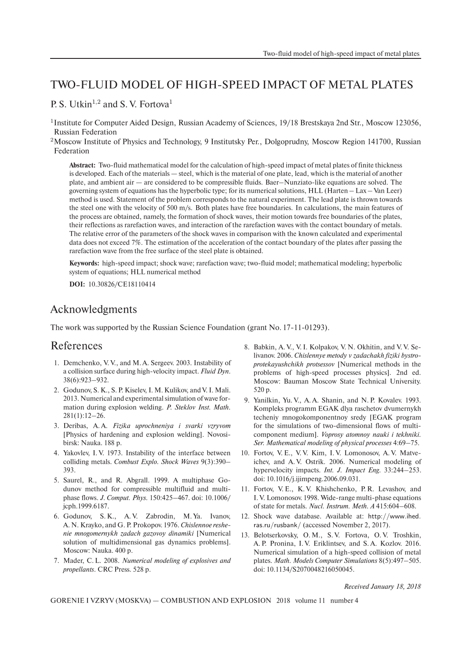## TWO-FLUID MODEL OF HIGH-SPEED IMPACT OF METAL PLATES

P. S. Utkin<sup>1,2</sup> and S. V. Fortova<sup>1</sup>

- <sup>1</sup> Institute for Computer Aided Design, Russian Academy of Sciences, 19/18 Brestskaya 2nd Str., Moscow 123056, Russian Federation
- <sup>2</sup>Moscow Institute of Physics and Technology, 9 Institutsky Per., Dolgoprudny, Moscow Region 141700, Russian Federation

**Abstract:** Two-fluid mathematical model for the calculation of high-speed impact of metal plates of finite thickness is developed. Each of the materials — steel, which is the material of one plate, lead, which is the material of another plate, and ambient air — are considered to be compressible fluids. Baer–Nunziato-like equations are solved. The governing system of equations has the hyperbolic type; for its numerical solutions, HLL (Harten – Lax – Van Leer) method is used. Statement of the problem corresponds to the natural experiment. The lead plate is thrown towards the steel one with the velocity of 500 m/s. Both plates have free boundaries. In calculations, the main features of the process are obtained, namely, the formation of shock waves, their motion towards free boundaries of the plates, their reflections as rarefaction waves, and interaction of the rarefaction waves with the contact boundary of metals. The relative error of the parameters of the shock waves in comparison with the known calculated and experimental data does not exceed 7%. The estimation of the acceleration of the contact boundary of the plates after passing the rarefaction wave from the free surface of the steel plate is obtained.

**Keywords:** high-speed impact; shock wave; rarefaction wave; two-fluid model; mathematical modeling; hyperbolic system of equations; HLL numerical method

**DOI:** 10.30826/CE18110414

## Acknowledgments

The work was supported by the Russian Science Foundation (grant No. 17-11-01293).

## References

- 1. Demchenko, V. V., and M. A. Sergeev. 2003. Instability of a collision surface during high-velocity impact. *Fluid Dyn.* 38(6):923–932.
- 2. Godunov, S. K., S. P. Kiselev, I. M. Kulikov, and V. I. Mali. 2013. Numerical and experimental simulation of wave formation during explosion welding. *P. Steklov Inst. Math.*  $281(1):12-26.$
- 3. Deribas, A. A. *Fizika uprochneniya i svarki vzryvom* [Physics of hardening and explosion welding]. Novosibirsk: Nauka. 188 p.
- 4. Yakovlev, I. V. 1973. Instability of the interface between colliding metals. *Combust Explo. Shock Waves* 9(3):390– 393.
- 5. Saurel, R., and R. Abgrall. 1999. A multiphase Godunov method for compressible multifluid and multiphase flows. *J. Comput. Phys.* 150:425–467. doi: 10.1006/ jcph.1999.6187.
- 6. Godunov, S. K., A. V. Zabrodin, M. Ya. Ivanov, A. N. Krayko, and G. P. Prokopov. 1976. *Chislennoe reshenie mnogomernykh zadach gazovoy dinamiki* [Numerical solution of multidimensional gas dynamics problems]. Moscow: Nauka. 400 p.
- 7. Mader, C. L. 2008. *Numerical modeling of explosives and propellants*. CRC Press. 528 p.
- 8. Babkin, A. V., V. I. Kolpakov, V. N. Okhitin, and V. V. Selivanov. 2006. *Chislennye metody v zadachakh fiziki bystroprotekayushchikh protsessov* [Numerical methods in the problems of high-speed processes physics]. 2nd ed. Moscow: Bauman Moscow State Technical University. 520 p.
- 9. Yanilkin, Yu. V., A. A. Shanin, and N. P. Kovalev. 1993. Kompleks programm EGAK dlya raschetov dvumernykh techeniy mnogokomponentnoy sredy [EGAK program for the simulations of two-dimensional flows of multicomponent medium]. *Voprosy atomnoy nauki i tekhniki. Ser. Mathematical modeling of physical processes* 4:69–75.
- 10. Fortov, V. E., V. V. Kim, I. V. Lomonosov, A. V. Matveichev, and A. V. Ostrik. 2006. Numerical modeling of hypervelocity impacts. *Int. J. Impact Eng.* 33:244–253. doi: 10.1016/j.ijimpeng.2006.09.031.
- 11. Fortov, V. E., K. V. Khishchenko, P. R. Levashov, and I. V. Lomonosov. 1998. Wide-range multi-phase equations of state for metals. *Nucl. Instrum. Meth. A* 415:604–608.
- 12. Shock wave database. Available at: http://www.ihed. ras.ru/rusbank/ (accessed November 2, 2017).
- 13. Belotserkovsky, O. M., S. V. Fortova, O. V. Troshkin, A. P. Pronina, I. V. Eriklintsev, and S. A. Kozlov. 2016. Numerical simulation of a high-speed collision of metal plates. *Math. Models Computer Simulations* 8(5):497–505. doi: 10.1134/S2070048216050045.

*Received January 18, 2018*

GORENIE I VZRYV (MOSKVA) — COMBUSTION AND EXPLOSION 2018 volume 11 number 4